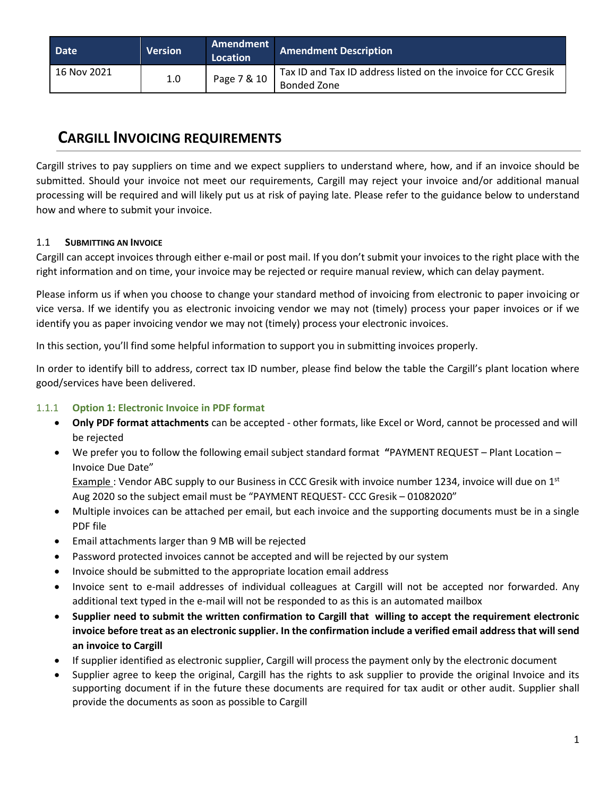| <b>Date</b>   | <b>Version</b> | Amendment<br>Location | <b>Amendment Description</b>                                                  |
|---------------|----------------|-----------------------|-------------------------------------------------------------------------------|
| l 16 Nov 2021 | 1.0            | Page 7 & 10           | Tax ID and Tax ID address listed on the invoice for CCC Gresik<br>Bonded Zone |

# **CARGILL INVOICING REQUIREMENTS**

Cargill strives to pay suppliers on time and we expect suppliers to understand where, how, and if an invoice should be submitted. Should your invoice not meet our requirements, Cargill may reject your invoice and/or additional manual processing will be required and will likely put us at risk of paying late. Please refer to the guidance below to understand how and where to submit your invoice.

## 1.1 **SUBMITTING AN INVOICE**

Cargill can accept invoices through either e-mail or post mail. If you don't submit your invoices to the right place with the right information and on time, your invoice may be rejected or require manual review, which can delay payment.

Please inform us if when you choose to change your standard method of invoicing from electronic to paper invoicing or vice versa. If we identify you as electronic invoicing vendor we may not (timely) process your paper invoices or if we identify you as paper invoicing vendor we may not (timely) process your electronic invoices.

In this section, you'll find some helpful information to support you in submitting invoices properly.

In order to identify bill to address, correct tax ID number, please find below the table the Cargill's plant location where good/services have been delivered.

## 1.1.1 **Option 1: Electronic Invoice in PDF format**

- **Only PDF format attachments** can be accepted other formats, like Excel or Word, cannot be processed and will be rejected
- We prefer you to follow the following email subject standard format **"**PAYMENT REQUEST Plant Location Invoice Due Date" Example : Vendor ABC supply to our Business in CCC Gresik with invoice number 1234, invoice will due on 1<sup>st</sup>

Aug 2020 so the subject email must be "PAYMENT REQUEST- CCC Gresik – 01082020"

- Multiple invoices can be attached per email, but each invoice and the supporting documents must be in a single PDF file
- Email attachments larger than 9 MB will be rejected
- Password protected invoices cannot be accepted and will be rejected by our system
- Invoice should be submitted to the appropriate location email address
- Invoice sent to e-mail addresses of individual colleagues at Cargill will not be accepted nor forwarded. Any additional text typed in the e-mail will not be responded to as this is an automated mailbox
- **Supplier need to submit the written confirmation to Cargill that willing to accept the requirement electronic invoice before treat as an electronic supplier. In the confirmation include a verified email address that will send an invoice to Cargill**
- If supplier identified as electronic supplier, Cargill will process the payment only by the electronic document
- Supplier agree to keep the original, Cargill has the rights to ask supplier to provide the original Invoice and its supporting document if in the future these documents are required for tax audit or other audit. Supplier shall provide the documents as soon as possible to Cargill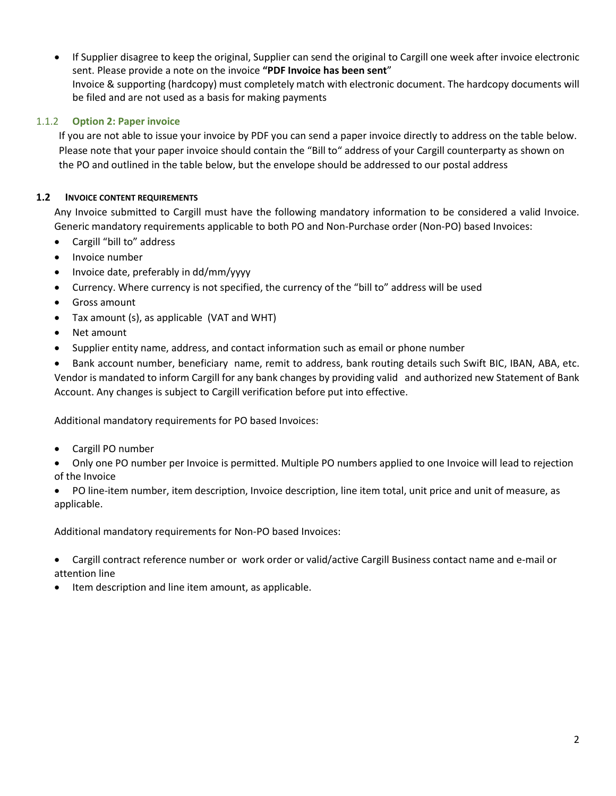• If Supplier disagree to keep the original, Supplier can send the original to Cargill one week after invoice electronic sent. Please provide a note on the invoice **"PDF Invoice has been sent**" Invoice & supporting (hardcopy) must completely match with electronic document. The hardcopy documents will be filed and are not used as a basis for making payments

#### 1.1.2 **Option 2: Paper invoice**

If you are not able to issue your invoice by PDF you can send a paper invoice directly to address on the table below. Please note that your paper invoice should contain the "Bill to" address of your Cargill counterparty as shown on the PO and outlined in the table below, but the envelope should be addressed to our postal address

#### **1.2 INVOICE CONTENT REQUIREMENTS**

Any Invoice submitted to Cargill must have the following mandatory information to be considered a valid Invoice. Generic mandatory requirements applicable to both PO and Non-Purchase order (Non-PO) based Invoices:

- Cargill "bill to" address
- Invoice number
- Invoice date, preferably in dd/mm/yyyy
- Currency. Where currency is not specified, the currency of the "bill to" address will be used
- Gross amount
- Tax amount (s), as applicable (VAT and WHT)
- Net amount
- Supplier entity name, address, and contact information such as email or phone number

• Bank account number, beneficiary name, remit to address, bank routing details such Swift BIC, IBAN, ABA, etc. Vendor is mandated to inform Cargill for any bank changes by providing valid and authorized new Statement of Bank Account. Any changes is subject to Cargill verification before put into effective.

Additional mandatory requirements for PO based Invoices:

• Cargill PO number

• Only one PO number per Invoice is permitted. Multiple PO numbers applied to one Invoice will lead to rejection of the Invoice

• PO line-item number, item description, Invoice description, line item total, unit price and unit of measure, as applicable.

Additional mandatory requirements for Non-PO based Invoices:

• Cargill contract reference number or work order or valid/active Cargill Business contact name and e-mail or attention line

Item description and line item amount, as applicable.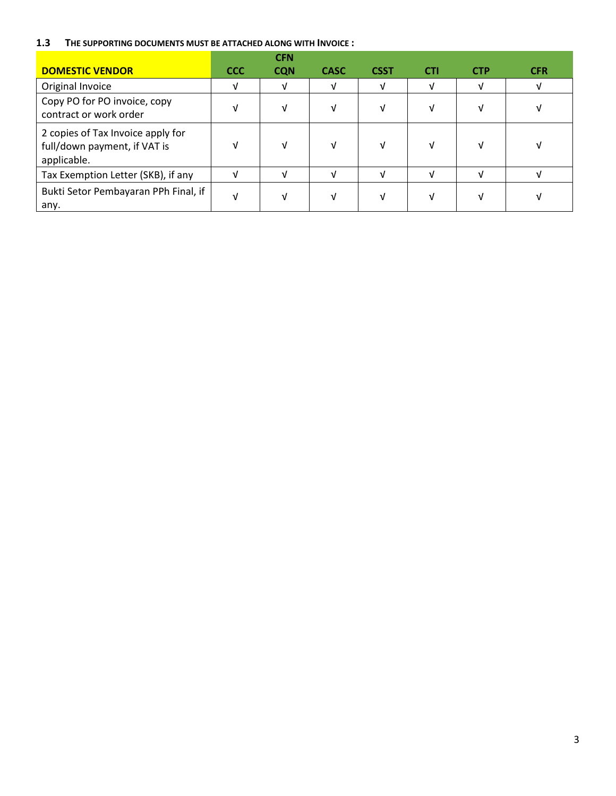#### **1.3 THE SUPPORTING DOCUMENTS MUST BE ATTACHED ALONG WITH INVOICE :**

|                                                                                  |            | <b>CFN</b> |             |             |     |            |            |
|----------------------------------------------------------------------------------|------------|------------|-------------|-------------|-----|------------|------------|
| <b>DOMESTIC VENDOR</b>                                                           | <b>CCC</b> | <b>CQN</b> | <b>CASC</b> | <b>CSST</b> | CTI | <b>CTP</b> | <b>CFR</b> |
| Original Invoice                                                                 | v          | v          | V           | V           |     | νI         | v          |
| Copy PO for PO invoice, copy<br>contract or work order                           | V          | V          | V           | V           |     | νI         |            |
| 2 copies of Tax Invoice apply for<br>full/down payment, if VAT is<br>applicable. | V          | V          | V           | V           |     | Ν          |            |
| Tax Exemption Letter (SKB), if any                                               | ٦I         |            | νI          | ν           | M   | νI         |            |
| Bukti Setor Pembayaran PPh Final, if<br>any.                                     | V          | V          | V           | V           |     |            |            |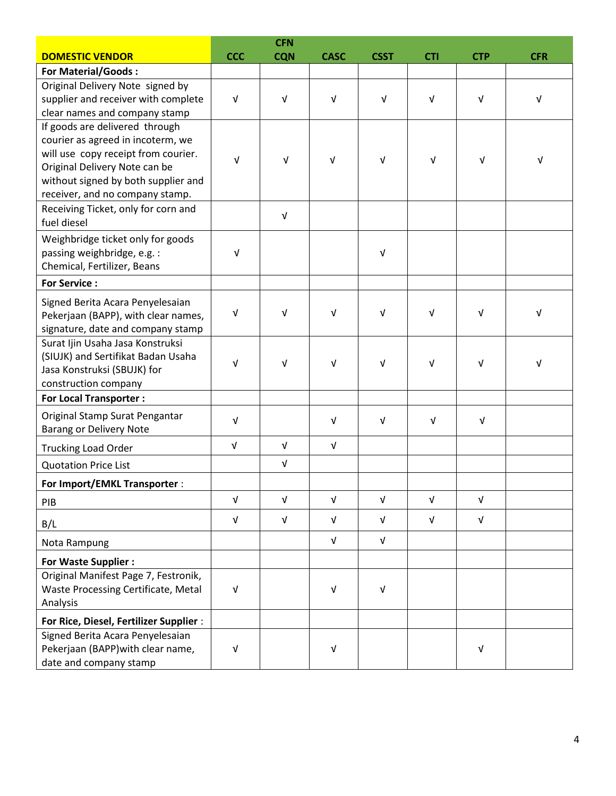|                                                                      | <b>CFN</b> |            |                           |             |            |            |            |  |
|----------------------------------------------------------------------|------------|------------|---------------------------|-------------|------------|------------|------------|--|
| <b>DOMESTIC VENDOR</b>                                               | <b>CCC</b> | <b>CQN</b> | <b>CASC</b>               | <b>CSST</b> | <b>CTI</b> | <b>CTP</b> | <b>CFR</b> |  |
| <b>For Material/Goods:</b>                                           |            |            |                           |             |            |            |            |  |
| Original Delivery Note signed by                                     |            |            |                           |             |            |            |            |  |
| supplier and receiver with complete                                  | $\sqrt{ }$ | $\sqrt{ }$ | $\sqrt{ }$                | $\sqrt{ }$  | $\sqrt{ }$ | $\sqrt{ }$ | $\sqrt{ }$ |  |
| clear names and company stamp                                        |            |            |                           |             |            |            |            |  |
| If goods are delivered through                                       |            |            |                           |             |            |            |            |  |
| courier as agreed in incoterm, we                                    |            |            |                           |             |            |            |            |  |
| will use copy receipt from courier.<br>Original Delivery Note can be | V          | $\sqrt{ }$ | V                         | V           | V          | $\sqrt{ }$ | V          |  |
| without signed by both supplier and                                  |            |            |                           |             |            |            |            |  |
| receiver, and no company stamp.                                      |            |            |                           |             |            |            |            |  |
| Receiving Ticket, only for corn and                                  |            |            |                           |             |            |            |            |  |
| fuel diesel                                                          |            | $\sqrt{ }$ |                           |             |            |            |            |  |
| Weighbridge ticket only for goods                                    |            |            |                           |             |            |            |            |  |
| passing weighbridge, e.g. :                                          | $\sqrt{ }$ |            |                           | V           |            |            |            |  |
| Chemical, Fertilizer, Beans                                          |            |            |                           |             |            |            |            |  |
| <b>For Service:</b>                                                  |            |            |                           |             |            |            |            |  |
| Signed Berita Acara Penyelesaian                                     |            |            |                           |             |            |            |            |  |
| Pekerjaan (BAPP), with clear names,                                  | $\sqrt{ }$ | $\sqrt{ }$ | V                         | V           | $\sqrt{ }$ | V          | $\sqrt{ }$ |  |
| signature, date and company stamp                                    |            |            |                           |             |            |            |            |  |
| Surat Ijin Usaha Jasa Konstruksi                                     |            |            |                           |             |            |            |            |  |
| (SIUJK) and Sertifikat Badan Usaha                                   | ν          | $\sqrt{ }$ | V                         | V           | $\sqrt{ }$ | V          | $\sqrt{ }$ |  |
| Jasa Konstruksi (SBUJK) for                                          |            |            |                           |             |            |            |            |  |
| construction company                                                 |            |            |                           |             |            |            |            |  |
| <b>For Local Transporter:</b>                                        |            |            |                           |             |            |            |            |  |
| Original Stamp Surat Pengantar                                       | V          |            | $\sqrt{ }$                | $\sqrt{ }$  | V          | $\sqrt{ }$ |            |  |
| <b>Barang or Delivery Note</b><br><b>Trucking Load Order</b>         | $\sqrt{ }$ | $\sqrt{ }$ | $\sqrt{ }$                |             |            |            |            |  |
|                                                                      |            |            |                           |             |            |            |            |  |
| <b>Quotation Price List</b>                                          |            | $\sqrt{ }$ |                           |             |            |            |            |  |
| For Import/EMKL Transporter :                                        |            |            |                           |             |            |            |            |  |
| PIB                                                                  | $\sqrt{ }$ | $\sqrt{ }$ | $\sqrt{ }$                | $\sqrt{ }$  | $\sqrt{ }$ | $\sqrt{ }$ |            |  |
| B/L                                                                  | V          | $\sqrt{ }$ | $\sqrt{ }$                | V           | $\sqrt{ }$ | $\sqrt{ }$ |            |  |
| Nota Rampung                                                         |            |            | V                         | V           |            |            |            |  |
| <b>For Waste Supplier:</b>                                           |            |            |                           |             |            |            |            |  |
| Original Manifest Page 7, Festronik,                                 |            |            |                           |             |            |            |            |  |
| Waste Processing Certificate, Metal                                  | $\sqrt{ }$ |            | $\ensuremath{\mathsf{V}}$ | V           |            |            |            |  |
| Analysis                                                             |            |            |                           |             |            |            |            |  |
| For Rice, Diesel, Fertilizer Supplier :                              |            |            |                           |             |            |            |            |  |
| Signed Berita Acara Penyelesaian                                     |            |            |                           |             |            |            |            |  |
| Pekerjaan (BAPP) with clear name,                                    | V          |            | ν                         |             |            | V          |            |  |
| date and company stamp                                               |            |            |                           |             |            |            |            |  |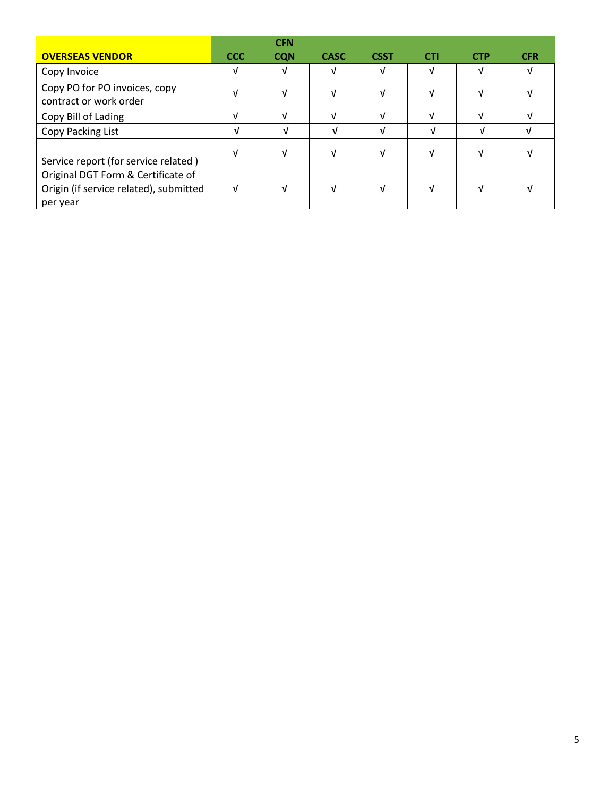|                                                                                          |            | <b>CFN</b> |             |             |            |            |            |
|------------------------------------------------------------------------------------------|------------|------------|-------------|-------------|------------|------------|------------|
| <b>OVERSEAS VENDOR</b>                                                                   | <b>CCC</b> | <b>CQN</b> | <b>CASC</b> | <b>CSST</b> | <b>CTI</b> | <b>CTP</b> | <b>CFR</b> |
| Copy Invoice                                                                             | V          | v          | V           | V           |            | v          |            |
| Copy PO for PO invoices, copy<br>contract or work order                                  | V          | M          | V           | M           |            | ν          |            |
| Copy Bill of Lading                                                                      | V          | νI         | ν           | νI          |            | νI         |            |
| Copy Packing List                                                                        | V          |            | ν           | νI          |            | νI         |            |
| Service report (for service related)                                                     | V          | V          | V           |             |            |            |            |
| Original DGT Form & Certificate of<br>Origin (if service related), submitted<br>per year | V          | V          | V           | v           |            |            |            |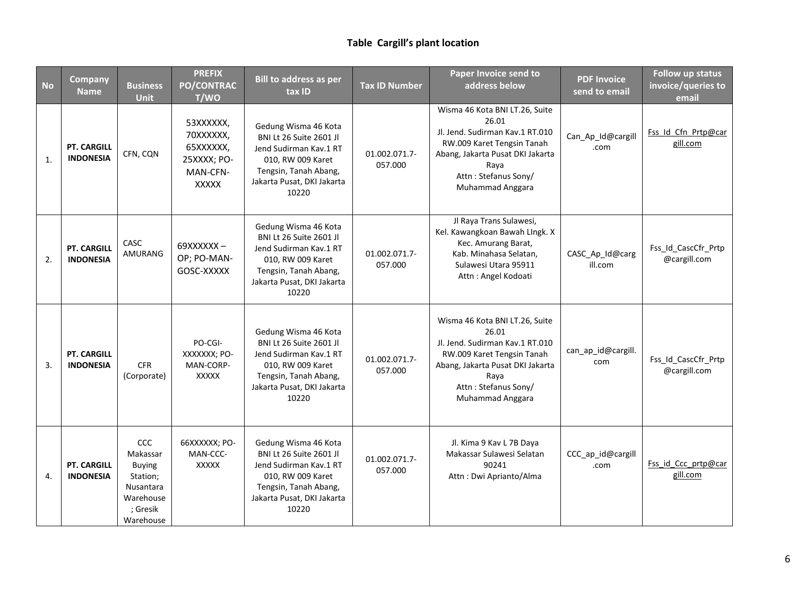## **Table Cargill's plant location**

| <b>No</b>      | <b>Company</b><br><b>Name</b>          | <b>Business</b><br><b>Unit</b>                                                                  | <b>PREFIX</b><br>PO/CONTRAC<br>T/WO                                            | <b>Bill to address as per</b><br>tax ID                                                                                                                               | <b>Tax ID Number</b>     | Paper Invoice send to<br>address below                                                                                                                                                           | <b>PDF Invoice</b><br>send to email | <b>Follow up status</b><br>invoice/queries to<br>email |
|----------------|----------------------------------------|-------------------------------------------------------------------------------------------------|--------------------------------------------------------------------------------|-----------------------------------------------------------------------------------------------------------------------------------------------------------------------|--------------------------|--------------------------------------------------------------------------------------------------------------------------------------------------------------------------------------------------|-------------------------------------|--------------------------------------------------------|
| $\mathbf{1}$ . | <b>PT. CARGILL</b><br><b>INDONESIA</b> | CFN, CQN                                                                                        | 53XXXXXX,<br>70XXXXXX,<br>65XXXXXX,<br>25XXXX; PO-<br>MAN-CFN-<br><b>XXXXX</b> | Gedung Wisma 46 Kota<br><b>BNI Lt 26 Suite 2601 Jl</b><br>Jend Sudirman Kav.1 RT<br>010, RW 009 Karet<br>Tengsin, Tanah Abang,<br>Jakarta Pusat, DKI Jakarta<br>10220 | 01.002.071.7-<br>057.000 | Wisma 46 Kota BNI LT.26, Suite<br>26.01<br>Jl. Jend. Sudirman Kav.1 RT.010<br>RW.009 Karet Tengsin Tanah<br>Abang, Jakarta Pusat DKI Jakarta<br>Raya<br>Attn: Stefanus Sony/<br>Muhammad Anggara | Can_Ap_Id@cargill<br>.com           | Fss Id Cfn Prtp@car<br>gill.com                        |
| 2.             | <b>PT. CARGILL</b><br><b>INDONESIA</b> | CASC<br>AMURANG                                                                                 | 69XXXXXX-<br>OP; PO-MAN-<br>GOSC-XXXXX                                         | Gedung Wisma 46 Kota<br><b>BNI Lt 26 Suite 2601 Jl</b><br>Jend Sudirman Kav.1 RT<br>010, RW 009 Karet<br>Tengsin, Tanah Abang,<br>Jakarta Pusat, DKI Jakarta<br>10220 | 01.002.071.7-<br>057.000 | Jl Raya Trans Sulawesi,<br>Kel. Kawangkoan Bawah LIngk. X<br>Kec. Amurang Barat,<br>Kab. Minahasa Selatan,<br>Sulawesi Utara 95911<br>Attn: Angel Kodoati                                        | CASC_Ap_Id@carg<br>ill.com          | Fss_Id_CascCfr_Prtp<br>@cargill.com                    |
| 3.             | <b>PT. CARGILL</b><br><b>INDONESIA</b> | <b>CFR</b><br>(Corporate)                                                                       | PO-CGI-<br>XXXXXXX; PO-<br>MAN-CORP-<br><b>XXXXX</b>                           | Gedung Wisma 46 Kota<br>BNI Lt 26 Suite 2601 Jl<br>Jend Sudirman Kav.1 RT<br>010, RW 009 Karet<br>Tengsin, Tanah Abang,<br>Jakarta Pusat, DKI Jakarta<br>10220        | 01.002.071.7-<br>057.000 | Wisma 46 Kota BNI LT.26, Suite<br>26.01<br>Jl. Jend. Sudirman Kav.1 RT.010<br>RW.009 Karet Tengsin Tanah<br>Abang, Jakarta Pusat DKI Jakarta<br>Raya<br>Attn: Stefanus Sony/<br>Muhammad Anggara | can_ap_id@cargill.<br>com           | Fss_Id_CascCfr_Prtp<br>@cargill.com                    |
| 4.             | <b>PT. CARGILL</b><br><b>INDONESIA</b> | CCC<br>Makassar<br><b>Buying</b><br>Station;<br>Nusantara<br>Warehouse<br>; Gresik<br>Warehouse | 66XXXXXX; PO-<br>MAN-CCC-<br><b>XXXXX</b>                                      | Gedung Wisma 46 Kota<br><b>BNI Lt 26 Suite 2601 Jl</b><br>Jend Sudirman Kav.1 RT<br>010, RW 009 Karet<br>Tengsin, Tanah Abang,<br>Jakarta Pusat, DKI Jakarta<br>10220 | 01.002.071.7-<br>057.000 | Jl. Kima 9 Kav L 7B Daya<br>Makassar Sulawesi Selatan<br>90241<br>Attn: Dwi Aprianto/Alma                                                                                                        | CCC_ap_id@cargill<br>.com           | Fss id Ccc prtp@car<br>gill.com                        |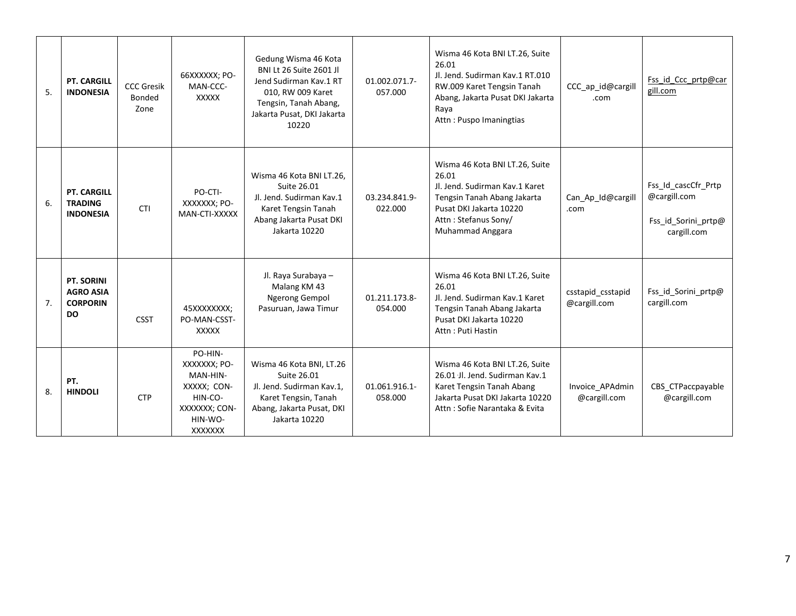| 5. | <b>PT. CARGILL</b><br><b>INDONESIA</b>                   | <b>CCC Gresik</b><br>Bonded<br>Zone | 66XXXXXX; PO-<br>MAN-CCC-<br><b>XXXXX</b>                                                            | Gedung Wisma 46 Kota<br><b>BNI Lt 26 Suite 2601 JI</b><br>Jend Sudirman Kav.1 RT<br>010, RW 009 Karet<br>Tengsin, Tanah Abang,<br>Jakarta Pusat, DKI Jakarta<br>10220 | 01.002.071.7-<br>057.000 | Wisma 46 Kota BNI LT.26, Suite<br>26.01<br>Jl. Jend. Sudirman Kav.1 RT.010<br>RW.009 Karet Tengsin Tanah<br>Abang, Jakarta Pusat DKI Jakarta<br>Raya<br>Attn: Puspo Imaningtias | CCC_ap_id@cargill<br>.com         | Fss id Ccc prtp@car<br>gill.com                                           |
|----|----------------------------------------------------------|-------------------------------------|------------------------------------------------------------------------------------------------------|-----------------------------------------------------------------------------------------------------------------------------------------------------------------------|--------------------------|---------------------------------------------------------------------------------------------------------------------------------------------------------------------------------|-----------------------------------|---------------------------------------------------------------------------|
| 6. | <b>PT. CARGILL</b><br><b>TRADING</b><br><b>INDONESIA</b> | <b>CTI</b>                          | PO-CTI-<br>XXXXXXX; PO-<br>MAN-CTI-XXXXX                                                             | Wisma 46 Kota BNI LT.26,<br>Suite 26.01<br>Jl. Jend. Sudirman Kav.1<br>Karet Tengsin Tanah<br>Abang Jakarta Pusat DKI<br>Jakarta 10220                                | 03.234.841.9-<br>022.000 | Wisma 46 Kota BNI LT.26, Suite<br>26.01<br>Jl. Jend. Sudirman Kay.1 Karet<br>Tengsin Tanah Abang Jakarta<br>Pusat DKI Jakarta 10220<br>Attn: Stefanus Sony/<br>Muhammad Anggara | Can_Ap_Id@cargill<br>.com         | Fss Id cascCfr Prtp<br>@cargill.com<br>Fss_id_Sorini_prtp@<br>cargill.com |
| 7. | PT. SORINI<br><b>AGRO ASIA</b><br><b>CORPORIN</b><br>DO. | <b>CSST</b>                         | 45XXXXXXXX;<br>PO-MAN-CSST-<br><b>XXXXX</b>                                                          | Jl. Raya Surabaya -<br>Malang KM 43<br><b>Ngerong Gempol</b><br>Pasuruan, Jawa Timur                                                                                  | 01.211.173.8-<br>054.000 | Wisma 46 Kota BNI LT.26, Suite<br>26.01<br>Jl. Jend. Sudirman Kay.1 Karet<br>Tengsin Tanah Abang Jakarta<br>Pusat DKI Jakarta 10220<br>Attn: Puti Hastin                        | csstapid_csstapid<br>@cargill.com | Fss_id_Sorini_prtp@<br>cargill.com                                        |
| 8. | PT.<br><b>HINDOLI</b>                                    | <b>CTP</b>                          | PO-HIN-<br>XXXXXXX; PO-<br>MAN-HIN-<br>XXXXX; CON-<br>HIN-CO-<br>XXXXXXX; CON-<br>HIN-WO-<br>XXXXXXX | Wisma 46 Kota BNI, LT.26<br>Suite 26.01<br>Jl. Jend. Sudirman Kav.1,<br>Karet Tengsin, Tanah<br>Abang, Jakarta Pusat, DKI<br>Jakarta 10220                            | 01.061.916.1-<br>058.000 | Wisma 46 Kota BNI LT.26, Suite<br>26.01 Jl. Jend. Sudirman Kav.1<br>Karet Tengsin Tanah Abang<br>Jakarta Pusat DKI Jakarta 10220<br>Attn: Sofie Narantaka & Evita               | Invoice_APAdmin<br>@cargill.com   | CBS_CTPaccpayable<br>@cargill.com                                         |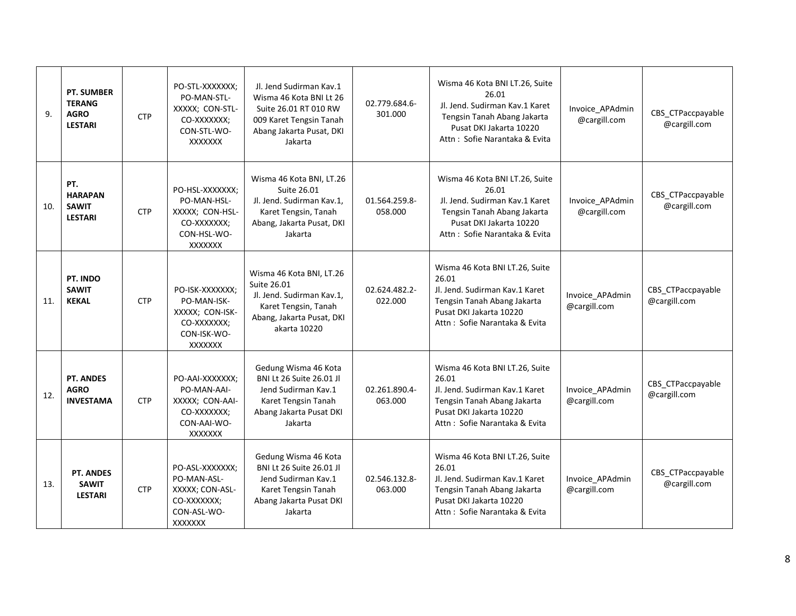| 9.  | <b>PT. SUMBER</b><br><b>TERANG</b><br><b>AGRO</b><br><b>LESTARI</b> | <b>CTP</b> | PO-STL-XXXXXXX;<br>PO-MAN-STL-<br>XXXXX; CON-STL-<br>CO-XXXXXXX;<br>CON-STL-WO-<br><b>XXXXXXX</b> | Jl. Jend Sudirman Kav.1<br>Wisma 46 Kota BNI Lt 26<br>Suite 26.01 RT 010 RW<br>009 Karet Tengsin Tanah<br>Abang Jakarta Pusat, DKI<br>Jakarta | 02.779.684.6-<br>301.000 | Wisma 46 Kota BNI LT.26, Suite<br>26.01<br>Jl. Jend. Sudirman Kav.1 Karet<br>Tengsin Tanah Abang Jakarta<br>Pusat DKI Jakarta 10220<br>Attn: Sofie Narantaka & Evita | Invoice_APAdmin<br>@cargill.com | CBS_CTPaccpayable<br>@cargill.com |
|-----|---------------------------------------------------------------------|------------|---------------------------------------------------------------------------------------------------|-----------------------------------------------------------------------------------------------------------------------------------------------|--------------------------|----------------------------------------------------------------------------------------------------------------------------------------------------------------------|---------------------------------|-----------------------------------|
| 10. | PT.<br><b>HARAPAN</b><br><b>SAWIT</b><br><b>LESTARI</b>             | <b>CTP</b> | PO-HSL-XXXXXXX;<br>PO-MAN-HSL-<br>XXXXX; CON-HSL-<br>CO-XXXXXXX;<br>CON-HSL-WO-<br><b>XXXXXXX</b> | Wisma 46 Kota BNI, LT.26<br>Suite 26.01<br>Jl. Jend. Sudirman Kav.1,<br>Karet Tengsin, Tanah<br>Abang, Jakarta Pusat, DKI<br>Jakarta          | 01.564.259.8-<br>058.000 | Wisma 46 Kota BNI LT.26, Suite<br>26.01<br>Jl. Jend. Sudirman Kav.1 Karet<br>Tengsin Tanah Abang Jakarta<br>Pusat DKI Jakarta 10220<br>Attn: Sofie Narantaka & Evita | Invoice_APAdmin<br>@cargill.com | CBS_CTPaccpayable<br>@cargill.com |
| 11. | PT. INDO<br><b>SAWIT</b><br><b>KEKAL</b>                            | <b>CTP</b> | PO-ISK-XXXXXXX;<br>PO-MAN-ISK-<br>XXXXX; CON-ISK-<br>CO-XXXXXXX;<br>CON-ISK-WO-<br><b>XXXXXXX</b> | Wisma 46 Kota BNI, LT.26<br>Suite 26.01<br>Jl. Jend. Sudirman Kav.1,<br>Karet Tengsin, Tanah<br>Abang, Jakarta Pusat, DKI<br>akarta 10220     | 02.624.482.2-<br>022.000 | Wisma 46 Kota BNI LT.26, Suite<br>26.01<br>Jl. Jend. Sudirman Kav.1 Karet<br>Tengsin Tanah Abang Jakarta<br>Pusat DKI Jakarta 10220<br>Attn: Sofie Narantaka & Evita | Invoice_APAdmin<br>@cargill.com | CBS_CTPaccpayable<br>@cargill.com |
| 12. | PT. ANDES<br><b>AGRO</b><br><b>INVESTAMA</b>                        | <b>CTP</b> | PO-AAI-XXXXXXX;<br>PO-MAN-AAI-<br>XXXXX; CON-AAI-<br>CO-XXXXXXX;<br>CON-AAI-WO-<br><b>XXXXXXX</b> | Gedung Wisma 46 Kota<br><b>BNI Lt 26 Suite 26.01 Jl</b><br>Jend Sudirman Kav.1<br>Karet Tengsin Tanah<br>Abang Jakarta Pusat DKI<br>Jakarta   | 02.261.890.4-<br>063.000 | Wisma 46 Kota BNI LT.26, Suite<br>26.01<br>Jl. Jend. Sudirman Kav.1 Karet<br>Tengsin Tanah Abang Jakarta<br>Pusat DKI Jakarta 10220<br>Attn: Sofie Narantaka & Evita | Invoice_APAdmin<br>@cargill.com | CBS CTPaccpayable<br>@cargill.com |
| 13. | PT. ANDES<br><b>SAWIT</b><br><b>LESTARI</b>                         | <b>CTP</b> | PO-ASL-XXXXXXX;<br>PO-MAN-ASL-<br>XXXXX; CON-ASL-<br>CO-XXXXXXX;<br>CON-ASL-WO-<br>XXXXXXX        | Gedung Wisma 46 Kota<br><b>BNI Lt 26 Suite 26.01 Jl</b><br>Jend Sudirman Kav.1<br>Karet Tengsin Tanah<br>Abang Jakarta Pusat DKI<br>Jakarta   | 02.546.132.8-<br>063.000 | Wisma 46 Kota BNI LT.26, Suite<br>26.01<br>Jl. Jend. Sudirman Kav.1 Karet<br>Tengsin Tanah Abang Jakarta<br>Pusat DKI Jakarta 10220<br>Attn: Sofie Narantaka & Evita | Invoice_APAdmin<br>@cargill.com | CBS_CTPaccpayable<br>@cargill.com |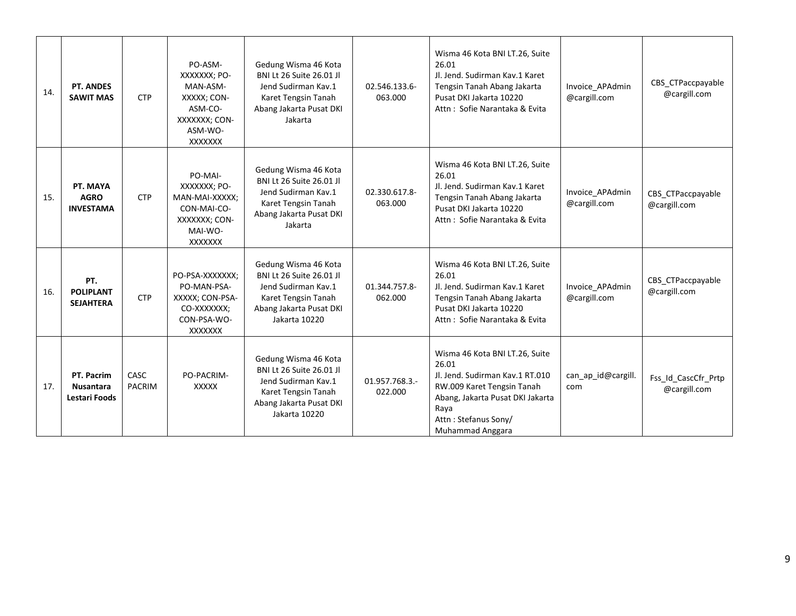| 14. | <b>PT. ANDES</b><br><b>SAWIT MAS</b>                   | <b>CTP</b>                   | PO-ASM-<br>XXXXXXX; PO-<br>MAN-ASM-<br>XXXXX; CON-<br>ASM-CO-<br>XXXXXXX; CON-<br>ASM-WO-<br>XXXXXXX   | Gedung Wisma 46 Kota<br><b>BNI Lt 26 Suite 26.01 JI</b><br>Jend Sudirman Kav.1<br>Karet Tengsin Tanah<br>Abang Jakarta Pusat DKI<br>Jakarta       | 02.546.133.6-<br>063.000  | Wisma 46 Kota BNI LT.26, Suite<br>26.01<br>Jl. Jend. Sudirman Kav.1 Karet<br>Tengsin Tanah Abang Jakarta<br>Pusat DKI Jakarta 10220<br>Attn: Sofie Narantaka & Evita                             | Invoice_APAdmin<br>@cargill.com | CBS_CTPaccpayable<br>@cargill.com   |
|-----|--------------------------------------------------------|------------------------------|--------------------------------------------------------------------------------------------------------|---------------------------------------------------------------------------------------------------------------------------------------------------|---------------------------|--------------------------------------------------------------------------------------------------------------------------------------------------------------------------------------------------|---------------------------------|-------------------------------------|
| 15. | PT. MAYA<br><b>AGRO</b><br><b>INVESTAMA</b>            | <b>CTP</b>                   | PO-MAI-<br>XXXXXXX; PO-<br>MAN-MAI-XXXXX;<br>CON-MAI-CO-<br>XXXXXXX; CON-<br>MAI-WO-<br><b>XXXXXXX</b> | Gedung Wisma 46 Kota<br><b>BNI Lt 26 Suite 26.01 JI</b><br>Jend Sudirman Kav.1<br>Karet Tengsin Tanah<br>Abang Jakarta Pusat DKI<br>Jakarta       | 02.330.617.8-<br>063.000  | Wisma 46 Kota BNI LT.26, Suite<br>26.01<br>Jl. Jend. Sudirman Kav.1 Karet<br>Tengsin Tanah Abang Jakarta<br>Pusat DKI Jakarta 10220<br>Attn: Sofie Narantaka & Evita                             | Invoice_APAdmin<br>@cargill.com | CBS CTPaccpayable<br>@cargill.com   |
| 16. | PT.<br><b>POLIPLANT</b><br><b>SEJAHTERA</b>            | <b>CTP</b>                   | PO-PSA-XXXXXXX;<br>PO-MAN-PSA-<br>XXXXX; CON-PSA-<br>CO-XXXXXXX;<br>CON-PSA-WO-<br><b>XXXXXXX</b>      | Gedung Wisma 46 Kota<br><b>BNI Lt 26 Suite 26.01 JI</b><br>Jend Sudirman Kav.1<br>Karet Tengsin Tanah<br>Abang Jakarta Pusat DKI<br>Jakarta 10220 | 01.344.757.8-<br>062.000  | Wisma 46 Kota BNI LT.26, Suite<br>26.01<br>Jl. Jend. Sudirman Kav.1 Karet<br>Tengsin Tanah Abang Jakarta<br>Pusat DKI Jakarta 10220<br>Attn: Sofie Narantaka & Evita                             | Invoice APAdmin<br>@cargill.com | CBS CTPaccpayable<br>@cargill.com   |
| 17. | PT. Pacrim<br><b>Nusantara</b><br><b>Lestari Foods</b> | <b>CASC</b><br><b>PACRIM</b> | PO-PACRIM-<br><b>XXXXX</b>                                                                             | Gedung Wisma 46 Kota<br><b>BNI Lt 26 Suite 26.01 Jl</b><br>Jend Sudirman Kav.1<br>Karet Tengsin Tanah<br>Abang Jakarta Pusat DKI<br>Jakarta 10220 | 01.957.768.3.-<br>022.000 | Wisma 46 Kota BNI LT.26, Suite<br>26.01<br>Jl. Jend. Sudirman Kav.1 RT.010<br>RW.009 Karet Tengsin Tanah<br>Abang, Jakarta Pusat DKI Jakarta<br>Raya<br>Attn: Stefanus Sony/<br>Muhammad Anggara | can_ap_id@cargill.<br>com       | Fss_Id_CascCfr_Prtp<br>@cargill.com |